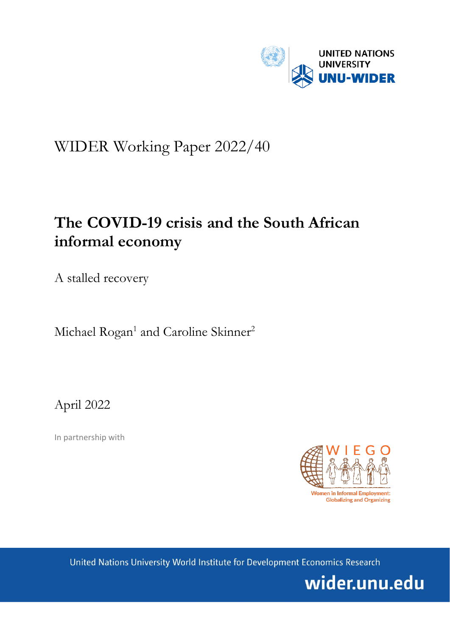

# WIDER Working Paper 2022/40

# **The COVID-19 crisis and the South African informal economy**

A stalled recovery

Michael Rogan<sup>1</sup> and Caroline Skinner<sup>2</sup>

April 2022

In partnership with



United Nations University World Institute for Development Economics Research

wider.unu.edu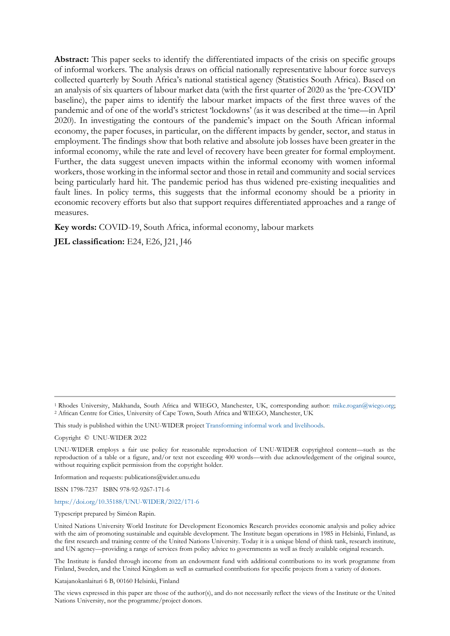**Abstract:** This paper seeks to identify the differentiated impacts of the crisis on specific groups of informal workers. The analysis draws on official nationally representative labour force surveys collected quarterly by South Africa's national statistical agency (Statistics South Africa). Based on an analysis of six quarters of labour market data (with the first quarter of 2020 as the 'pre-COVID' baseline), the paper aims to identify the labour market impacts of the first three waves of the pandemic and of one of the world's strictest 'lockdowns' (as it was described at the time—in April 2020). In investigating the contours of the pandemic's impact on the South African informal economy, the paper focuses, in particular, on the different impacts by gender, sector, and status in employment. The findings show that both relative and absolute job losses have been greater in the informal economy, while the rate and level of recovery have been greater for formal employment. Further, the data suggest uneven impacts within the informal economy with women informal workers, those working in the informal sector and those in retail and community and social services being particularly hard hit. The pandemic period has thus widened pre-existing inequalities and fault lines. In policy terms, this suggests that the informal economy should be a priority in economic recovery efforts but also that support requires differentiated approaches and a range of measures.

**Key words:** COVID-19, South Africa, informal economy, labour markets

**JEL classification:** E24, E26, J21, J46

<sup>1</sup> Rhodes University, Makhanda, South Africa and WIEGO, Manchester, UK, corresponding author: [mike.rogan@wiego.org;](mailto:mike.rogan@wiego.org) 2 African Centre for Cities, University of Cape Town, South Africa and WIEGO, Manchester, UK

This study is published within the UNU-WIDER projec[t Transforming informal work and livelihoods.](https://www.wider.unu.edu/node/187589)

Copyright © UNU-WIDER 2022

UNU-WIDER employs a fair use policy for reasonable reproduction of UNU-WIDER copyrighted content—such as the reproduction of a table or a figure, and/or text not exceeding 400 words—with due acknowledgement of the original source, without requiring explicit permission from the copyright holder.

Information and requests: publications@wider.unu.edu

ISSN 1798-7237 ISBN 978-92-9267-171-6

<https://doi.org/10.35188/UNU-WIDER/2022/171-6>

Typescript prepared by Siméon Rapin.

United Nations University World Institute for Development Economics Research provides economic analysis and policy advice with the aim of promoting sustainable and equitable development. The Institute began operations in 1985 in Helsinki, Finland, as the first research and training centre of the United Nations University. Today it is a unique blend of think tank, research institute, and UN agency—providing a range of services from policy advice to governments as well as freely available original research.

The Institute is funded through income from an endowment fund with additional contributions to its work programme from Finland, Sweden, and the United Kingdom as well as earmarked contributions for specific projects from a variety of donors.

Katajanokanlaituri 6 B, 00160 Helsinki, Finland

The views expressed in this paper are those of the author(s), and do not necessarily reflect the views of the Institute or the United Nations University, nor the programme/project donors.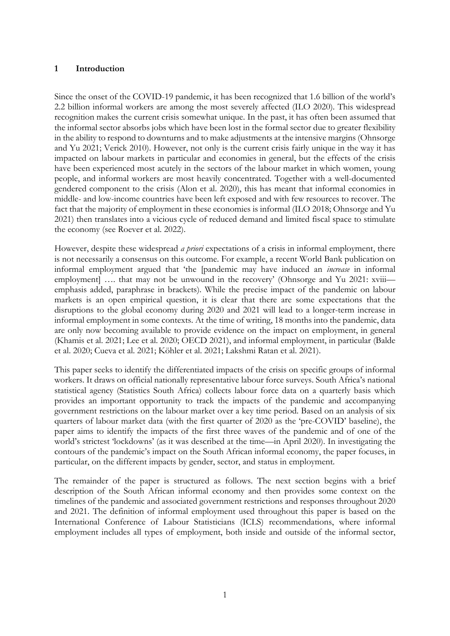### **1 Introduction**

Since the onset of the COVID-19 pandemic, it has been recognized that 1.6 billion of the world's 2.2 billion informal workers are among the most severely affected (ILO 2020). This widespread recognition makes the current crisis somewhat unique. In the past, it has often been assumed that the informal sector absorbs jobs which have been lost in the formal sector due to greater flexibility in the ability to respond to downturns and to make adjustments at the intensive margins (Ohnsorge and Yu 2021; Verick 2010). However, not only is the current crisis fairly unique in the way it has impacted on labour markets in particular and economies in general, but the effects of the crisis have been experienced most acutely in the sectors of the labour market in which women, young people, and informal workers are most heavily concentrated. Together with a well-documented gendered component to the crisis (Alon et al. 2020), this has meant that informal economies in middle- and low-income countries have been left exposed and with few resources to recover. The fact that the majority of employment in these economies is informal (ILO 2018; Ohnsorge and Yu 2021) then translates into a vicious cycle of reduced demand and limited fiscal space to stimulate the economy (see Roever et al. 2022).

However, despite these widespread *a priori* expectations of a crisis in informal employment, there is not necessarily a consensus on this outcome. For example, a recent World Bank publication on informal employment argued that 'the [pandemic may have induced an *increase* in informal employment [.... that may not be unwound in the recovery' (Ohnsorge and Yu 2021: xviii emphasis added, paraphrase in brackets). While the precise impact of the pandemic on labour markets is an open empirical question, it is clear that there are some expectations that the disruptions to the global economy during 2020 and 2021 will lead to a longer-term increase in informal employment in some contexts. At the time of writing, 18 months into the pandemic, data are only now becoming available to provide evidence on the impact on employment, in general (Khamis et al. 2021; Lee et al. 2020; OECD 2021), and informal employment, in particular (Balde et al. 2020; Cueva et al. 2021; Köhler et al. 2021; Lakshmi Ratan et al. 2021).

This paper seeks to identify the differentiated impacts of the crisis on specific groups of informal workers. It draws on official nationally representative labour force surveys. South Africa's national statistical agency (Statistics South Africa) collects labour force data on a quarterly basis which provides an important opportunity to track the impacts of the pandemic and accompanying government restrictions on the labour market over a key time period. Based on an analysis of six quarters of labour market data (with the first quarter of 2020 as the 'pre-COVID' baseline), the paper aims to identify the impacts of the first three waves of the pandemic and of one of the world's strictest 'lockdowns' (as it was described at the time—in April 2020). In investigating the contours of the pandemic's impact on the South African informal economy, the paper focuses, in particular, on the different impacts by gender, sector, and status in employment.

The remainder of the paper is structured as follows. The next section begins with a brief description of the South African informal economy and then provides some context on the timelines of the pandemic and associated government restrictions and responses throughout 2020 and 2021. The definition of informal employment used throughout this paper is based on the International Conference of Labour Statisticians (ICLS) recommendations, where informal employment includes all types of employment, both inside and outside of the informal sector,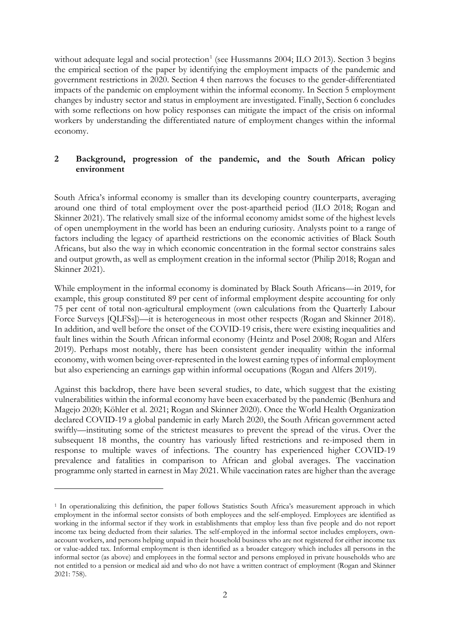without adequate legal and social protection<sup>[1](#page-3-0)</sup> (see Hussmanns 2004; ILO 2013). Section 3 begins the empirical section of the paper by identifying the employment impacts of the pandemic and government restrictions in 2020. Section 4 then narrows the focuses to the gender-differentiated impacts of the pandemic on employment within the informal economy. In Section 5 employment changes by industry sector and status in employment are investigated. Finally, Section 6 concludes with some reflections on how policy responses can mitigate the impact of the crisis on informal workers by understanding the differentiated nature of employment changes within the informal economy.

## **2 Background, progression of the pandemic, and the South African policy environment**

South Africa's informal economy is smaller than its developing country counterparts, averaging around one third of total employment over the post-apartheid period (ILO 2018; Rogan and Skinner 2021). The relatively small size of the informal economy amidst some of the highest levels of open unemployment in the world has been an enduring curiosity. Analysts point to a range of factors including the legacy of apartheid restrictions on the economic activities of Black South Africans, but also the way in which economic concentration in the formal sector constrains sales and output growth, as well as employment creation in the informal sector (Philip 2018; Rogan and Skinner 2021).

While employment in the informal economy is dominated by Black South Africans—in 2019, for example, this group constituted 89 per cent of informal employment despite accounting for only 75 per cent of total non-agricultural employment (own calculations from the Quarterly Labour Force Surveys [QLFSs])—it is heterogeneous in most other respects (Rogan and Skinner 2018). In addition, and well before the onset of the COVID-19 crisis, there were existing inequalities and fault lines within the South African informal economy (Heintz and Posel 2008; Rogan and Alfers 2019). Perhaps most notably, there has been consistent gender inequality within the informal economy, with women being over-represented in the lowest earning types of informal employment but also experiencing an earnings gap within informal occupations (Rogan and Alfers 2019).

Against this backdrop, there have been several studies, to date, which suggest that the existing vulnerabilities within the informal economy have been exacerbated by the pandemic (Benhura and Magejo 2020; Köhler et al. 2021; Rogan and Skinner 2020). Once the World Health Organization declared COVID-19 a global pandemic in early March 2020, the South African government acted swiftly—instituting some of the strictest measures to prevent the spread of the virus. Over the subsequent 18 months, the country has variously lifted restrictions and re-imposed them in response to multiple waves of infections. The country has experienced higher COVID-19 prevalence and fatalities in comparison to African and global averages. The vaccination programme only started in earnest in May 2021. While vaccination rates are higher than the average

<span id="page-3-0"></span><sup>1</sup> In operationalizing this definition, the paper follows Statistics South Africa's measurement approach in which employment in the informal sector consists of both employees and the self-employed. Employees are identified as working in the informal sector if they work in establishments that employ less than five people and do not report income tax being deducted from their salaries. The self-employed in the informal sector includes employers, ownaccount workers, and persons helping unpaid in their household business who are not registered for either income tax or value-added tax. Informal employment is then identified as a broader category which includes all persons in the informal sector (as above) and employees in the formal sector and persons employed in private households who are not entitled to a pension or medical aid and who do not have a written contract of employment (Rogan and Skinner 2021: 758).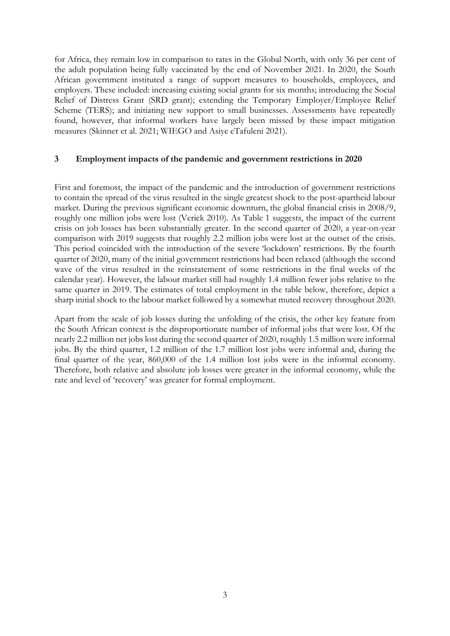for Africa, they remain low in comparison to rates in the Global North, with only 36 per cent of the adult population being fully vaccinated by the end of November 2021. In 2020, the South African government instituted a range of support measures to households, employees, and employers. These included: increasing existing social grants for six months; introducing the Social Relief of Distress Grant (SRD grant); extending the Temporary Employer/Employee Relief Scheme (TERS); and initiating new support to small businesses. Assessments have repeatedly found, however, that informal workers have largely been missed by these impact mitigation measures (Skinner et al. 2021; WIEGO and Asiye eTafuleni 2021).

### **3 Employment impacts of the pandemic and government restrictions in 2020**

First and foremost, the impact of the pandemic and the introduction of government restrictions to contain the spread of the virus resulted in the single greatest shock to the post-apartheid labour market. During the previous significant economic downturn, the global financial crisis in 2008/9, roughly one million jobs were lost (Verick 2010). As Table 1 suggests, the impact of the current crisis on job losses has been substantially greater. In the second quarter of 2020, a year-on-year comparison with 2019 suggests that roughly 2.2 million jobs were lost at the outset of the crisis. This period coincided with the introduction of the severe 'lockdown' restrictions. By the fourth quarter of 2020, many of the initial government restrictions had been relaxed (although the second wave of the virus resulted in the reinstatement of some restrictions in the final weeks of the calendar year). However, the labour market still had roughly 1.4 million fewer jobs relative to the same quarter in 2019. The estimates of total employment in the table below, therefore, depict a sharp initial shock to the labour market followed by a somewhat muted recovery throughout 2020.

Apart from the scale of job losses during the unfolding of the crisis, the other key feature from the South African context is the disproportionate number of informal jobs that were lost. Of the nearly 2.2 million net jobs lost during the second quarter of 2020, roughly 1.5 million were informal jobs. By the third quarter, 1.2 million of the 1.7 million lost jobs were informal and, during the final quarter of the year, 860,000 of the 1.4 million lost jobs were in the informal economy. Therefore, both relative and absolute job losses were greater in the informal economy, while the rate and level of 'recovery' was greater for formal employment.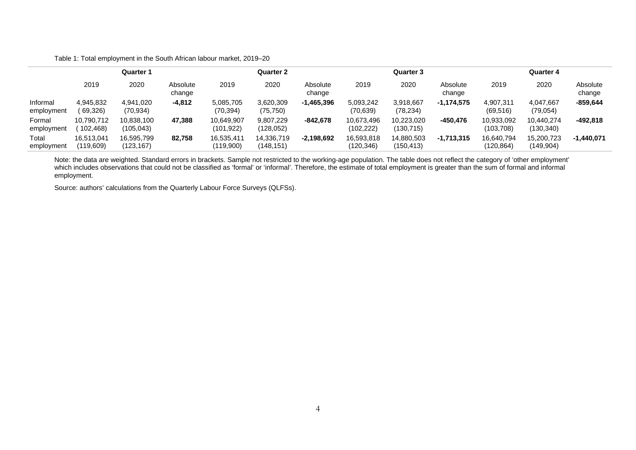Table 1: Total employment in the South African labour market, 2019–20

|                        | <b>Quarter 1</b>         |                         |                    | Quarter 2                |                          |                    | <b>Quarter 3</b>         |                         |                    | Quarter 4               |                          |                    |
|------------------------|--------------------------|-------------------------|--------------------|--------------------------|--------------------------|--------------------|--------------------------|-------------------------|--------------------|-------------------------|--------------------------|--------------------|
|                        | 2019                     | 2020                    | Absolute<br>change | 2019                     | 2020                     | Absolute<br>change | 2019                     | 2020                    | Absolute<br>change | 2019                    | 2020                     | Absolute<br>change |
| Informal<br>employment | 4,945,832<br>(69,326)    | 4.941.020<br>(70,934)   | $-4,812$           | 5,085,705<br>(70, 394)   | 3,620,309<br>(75, 750)   | $-1,465,396$       | 5,093,242<br>(70, 639)   | 3.918.667<br>(78, 234)  | $-1.174.575$       | 4.907.311<br>(69, 516)  | 4.047.667<br>(79,054)    | $-859,644$         |
| Formal<br>employment   | 10,790,712<br>102,468)   | 10.838.100<br>(105,043) | 47.388             | 10,649,907<br>(101, 922) | 9,807,229<br>(128, 052)  | $-842,678$         | 10.673.496<br>(102, 222) | 10.223.020<br>(130,715) | -450.476           | 10,933,092<br>(103,708) | 10.440.274<br>(130, 340) | -492,818           |
| Total<br>employment    | 16,513,041<br>(119, 609) | 16,595,799<br>(123,167) | 82,758             | 16,535,411<br>(119,900)  | 14,336,719<br>(148, 151) | $-2,198,692$       | 16,593,818<br>(120, 346) | 14,880,503<br>(150,413) | $-1,713,315$       | 16,640,794<br>(120,864) | 15,200,723<br>(149, 904) | $-1,440,071$       |

Note: the data are weighted. Standard errors in brackets. Sample not restricted to the working-age population. The table does not reflect the category of 'other employment' which includes observations that could not be classified as 'formal' or 'informal'. Therefore, the estimate of total employment is greater than the sum of formal and informal employment.

Source: authors' calculations from the Quarterly Labour Force Surveys (QLFSs).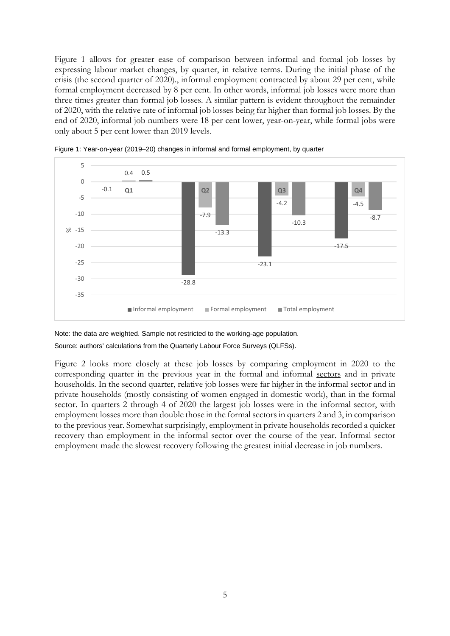Figure 1 allows for greater ease of comparison between informal and formal job losses by expressing labour market changes, by quarter, in relative terms. During the initial phase of the crisis (the second quarter of 2020)., informal employment contracted by about 29 per cent, while formal employment decreased by 8 per cent. In other words, informal job losses were more than three times greater than formal job losses. A similar pattern is evident throughout the remainder of 2020, with the relative rate of informal job losses being far higher than formal job losses. By the end of 2020, informal job numbers were 18 per cent lower, year-on-year, while formal jobs were only about 5 per cent lower than 2019 levels.





Note: the data are weighted. Sample not restricted to the working-age population.

Source: authors' calculations from the Quarterly Labour Force Surveys (QLFSs).

Figure 2 looks more closely at these job losses by comparing employment in 2020 to the corresponding quarter in the previous year in the formal and informal sectors and in private households. In the second quarter, relative job losses were far higher in the informal sector and in private households (mostly consisting of women engaged in domestic work), than in the formal sector. In quarters 2 through 4 of 2020 the largest job losses were in the informal sector, with employment losses more than double those in the formal sectors in quarters 2 and 3, in comparison to the previous year. Somewhat surprisingly, employment in private households recorded a quicker recovery than employment in the informal sector over the course of the year. Informal sector employment made the slowest recovery following the greatest initial decrease in job numbers.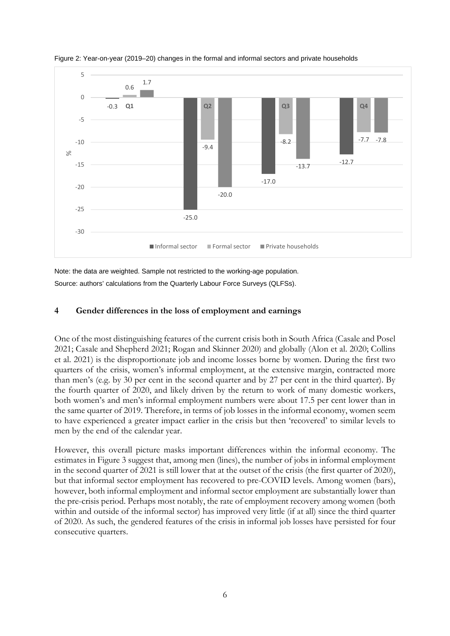

Figure 2: Year-on-year (2019–20) changes in the formal and informal sectors and private households

Note: the data are weighted. Sample not restricted to the working-age population. Source: authors' calculations from the Quarterly Labour Force Surveys (QLFSs).

### **4 Gender differences in the loss of employment and earnings**

One of the most distinguishing features of the current crisis both in South Africa (Casale and Posel 2021; Casale and Shepherd 2021; Rogan and Skinner 2020) and globally (Alon et al. 2020; Collins et al. 2021) is the disproportionate job and income losses borne by women. During the first two quarters of the crisis, women's informal employment, at the extensive margin, contracted more than men's (e.g. by 30 per cent in the second quarter and by 27 per cent in the third quarter). By the fourth quarter of 2020, and likely driven by the return to work of many domestic workers, both women's and men's informal employment numbers were about 17.5 per cent lower than in the same quarter of 2019. Therefore, in terms of job losses in the informal economy, women seem to have experienced a greater impact earlier in the crisis but then 'recovered' to similar levels to men by the end of the calendar year.

However, this overall picture masks important differences within the informal economy. The estimates in Figure 3 suggest that, among men (lines), the number of jobs in informal employment in the second quarter of 2021 is still lower that at the outset of the crisis (the first quarter of 2020), but that informal sector employment has recovered to pre-COVID levels. Among women (bars), however, both informal employment and informal sector employment are substantially lower than the pre-crisis period. Perhaps most notably, the rate of employment recovery among women (both within and outside of the informal sector) has improved very little (if at all) since the third quarter of 2020. As such, the gendered features of the crisis in informal job losses have persisted for four consecutive quarters.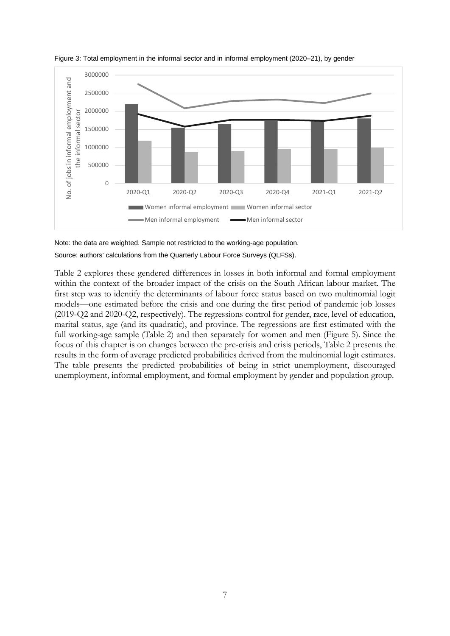

Figure 3: Total employment in the informal sector and in informal employment (2020–21), by gender

Note: the data are weighted. Sample not restricted to the working-age population. Source: authors' calculations from the Quarterly Labour Force Surveys (QLFSs).

Table 2 explores these gendered differences in losses in both informal and formal employment within the context of the broader impact of the crisis on the South African labour market. The first step was to identify the determinants of labour force status based on two multinomial logit models—one estimated before the crisis and one during the first period of pandemic job losses (2019-Q2 and 2020-Q2, respectively). The regressions control for gender, race, level of education, marital status, age (and its quadratic), and province. The regressions are first estimated with the full working-age sample (Table 2) and then separately for women and men (Figure 5). Since the focus of this chapter is on changes between the pre-crisis and crisis periods, Table 2 presents the results in the form of average predicted probabilities derived from the multinomial logit estimates. The table presents the predicted probabilities of being in strict unemployment, discouraged unemployment, informal employment, and formal employment by gender and population group.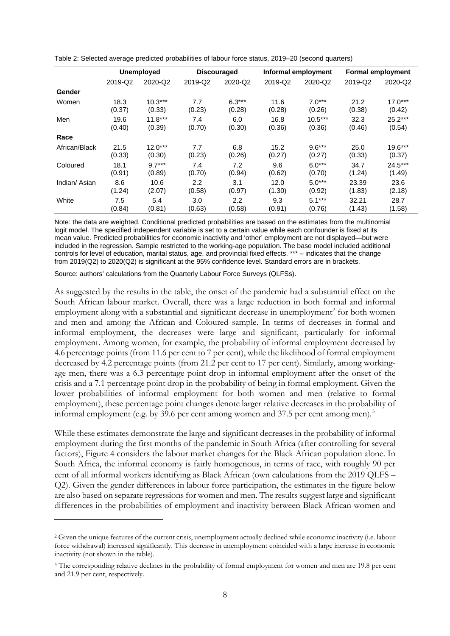|               | <b>Unemployed</b> |           | <b>Discouraged</b> |          | Informal employment |           | <b>Formal employment</b> |           |
|---------------|-------------------|-----------|--------------------|----------|---------------------|-----------|--------------------------|-----------|
|               | 2019-Q2           | 2020-Q2   | 2019-Q2            | 2020-Q2  | 2019-Q2             | 2020-Q2   | 2019-Q2                  | 2020-Q2   |
| Gender        |                   |           |                    |          |                     |           |                          |           |
| Women         | 18.3              | $10.3***$ | 7.7                | $6.3***$ | 11.6                | $7.0***$  | 21.2                     | $17.0***$ |
|               | (0.37)            | (0.33)    | (0.23)             | (0.28)   | (0.28)              | (0.26)    | (0.38)                   | (0.42)    |
| Men           | 19.6              | $11.8***$ | 7.4                | 6.0      | 16.8                | $10.5***$ | 32.3                     | $25.2***$ |
|               | (0.40)            | (0.39)    | (0.70)             | (0.30)   | (0.36)              | (0.36)    | (0.46)                   | (0.54)    |
| Race          |                   |           |                    |          |                     |           |                          |           |
| African/Black | 21.5              | $12.0***$ | 7.7                | 6.8      | 15.2                | $9.6***$  | 25.0                     | $19.6***$ |
|               | (0.33)            | (0.30)    | (0.23)             | (0.26)   | (0.27)              | (0.27)    | (0.33)                   | (0.37)    |
| Coloured      | 18.1              | $9.7***$  | 7.4                | 7.2      | 9.6                 | $6.0***$  | 34.7                     | $24.5***$ |
|               | (0.91)            | (0.89)    | (0.70)             | (0.94)   | (0.62)              | (0.70)    | (1.24)                   | (1.49)    |
| Indian/Asian  | 8.6               | 10.6      | 2.2                | 3.1      | 12.0                | $5.0***$  | 23.39                    | 23.6      |
|               | (1.24)            | (2.07)    | (0.58)             | (0.97)   | (1.30)              | (0.92)    | (1.83)                   | (2.18)    |
| White         | 7.5               | 5.4       | 3.0                | 2.2      | 9.3                 | $5.1***$  | 32.21                    | 28.7      |
|               | (0.84)            | (0.81)    | (0.63)             | (0.58)   | (0.91)              | (0.76)    | (1.43)                   | (1.58)    |

Table 2: Selected average predicted probabilities of labour force status, 2019–20 (second quarters)

Note: the data are weighted. Conditional predicted probabilities are based on the estimates from the multinomial logit model. The specified independent variable is set to a certain value while each confounder is fixed at its mean value. Predicted probabilities for economic inactivity and 'other' employment are not displayed—but were included in the regression. Sample restricted to the working-age population. The base model included additional controls for level of education, marital status, age, and provincial fixed effects. \*\*\* – indicates that the change from 2019(Q2) to 2020(Q2) is significant at the 95% confidence level. Standard errors are in brackets.

Source: authors' calculations from the Quarterly Labour Force Surveys (QLFSs).

As suggested by the results in the table, the onset of the pandemic had a substantial effect on the South African labour market. Overall, there was a large reduction in both formal and informal employment along with a substantial and significant decrease in unemployment<sup>[2](#page-9-0)</sup> for both women and men and among the African and Coloured sample. In terms of decreases in formal and informal employment, the decreases were large and significant, particularly for informal employment. Among women, for example, the probability of informal employment decreased by 4.6 percentage points (from 11.6 per cent to 7 per cent), while the likelihood of formal employment decreased by 4.2 percentage points (from 21.2 per cent to 17 per cent). Similarly, among workingage men, there was a 6.3 percentage point drop in informal employment after the onset of the crisis and a 7.1 percentage point drop in the probability of being in formal employment. Given the lower probabilities of informal employment for both women and men (relative to formal employment), these percentage point changes denote larger relative decreases in the probability of informal employment (e.g. by [3](#page-9-1)9.6 per cent among women and 37.5 per cent among men).<sup>3</sup>

While these estimates demonstrate the large and significant decreases in the probability of informal employment during the first months of the pandemic in South Africa (after controlling for several factors), Figure 4 considers the labour market changes for the Black African population alone. In South Africa, the informal economy is fairly homogenous, in terms of race, with roughly 90 per cent of all informal workers identifying as Black African (own calculations from the 2019 QLFS – Q2). Given the gender differences in labour force participation, the estimates in the figure below are also based on separate regressions for women and men. The results suggest large and significant differences in the probabilities of employment and inactivity between Black African women and

<span id="page-9-0"></span><sup>2</sup> Given the unique features of the current crisis, unemployment actually declined while economic inactivity (i.e. labour force withdrawal) increased significantly. This decrease in unemployment coincided with a large increase in economic inactivity (not shown in the table).

<span id="page-9-1"></span><sup>&</sup>lt;sup>3</sup> The corresponding relative declines in the probability of formal employment for women and men are 19.8 per cent and 21.9 per cent, respectively.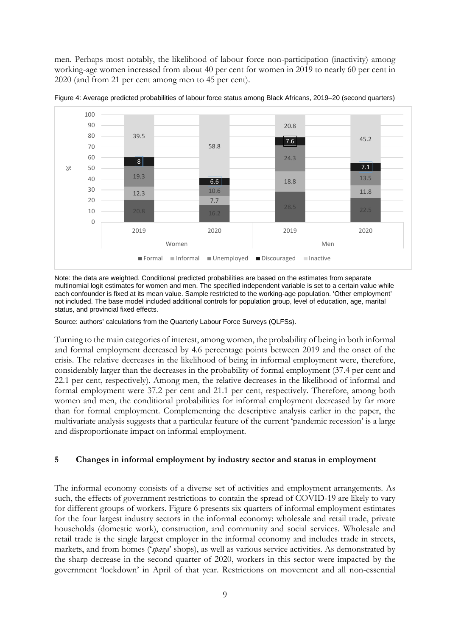men. Perhaps most notably, the likelihood of labour force non-participation (inactivity) among working-age women increased from about 40 per cent for women in 2019 to nearly 60 per cent in 2020 (and from 21 per cent among men to 45 per cent).



Figure 4: Average predicted probabilities of labour force status among Black Africans, 2019–20 (second quarters)

Note: the data are weighted. Conditional predicted probabilities are based on the estimates from separate multinomial logit estimates for women and men. The specified independent variable is set to a certain value while each confounder is fixed at its mean value. Sample restricted to the working-age population. 'Other employment' not included. The base model included additional controls for population group, level of education, age, marital status, and provincial fixed effects.

Source: authors' calculations from the Quarterly Labour Force Surveys (QLFSs).

Turning to the main categories of interest, among women, the probability of being in both informal and formal employment decreased by 4.6 percentage points between 2019 and the onset of the crisis. The relative decreases in the likelihood of being in informal employment were, therefore, considerably larger than the decreases in the probability of formal employment (37.4 per cent and 22.1 per cent, respectively). Among men, the relative decreases in the likelihood of informal and formal employment were 37.2 per cent and 21.1 per cent, respectively. Therefore, among both women and men, the conditional probabilities for informal employment decreased by far more than for formal employment. Complementing the descriptive analysis earlier in the paper, the multivariate analysis suggests that a particular feature of the current 'pandemic recession' is a large and disproportionate impact on informal employment.

#### **5 Changes in informal employment by industry sector and status in employment**

The informal economy consists of a diverse set of activities and employment arrangements. As such, the effects of government restrictions to contain the spread of COVID-19 are likely to vary for different groups of workers. Figure 6 presents six quarters of informal employment estimates for the four largest industry sectors in the informal economy: wholesale and retail trade, private households (domestic work), construction, and community and social services. Wholesale and retail trade is the single largest employer in the informal economy and includes trade in streets, markets, and from homes ('*spaza*' shops), as well as various service activities. As demonstrated by the sharp decrease in the second quarter of 2020, workers in this sector were impacted by the government 'lockdown' in April of that year. Restrictions on movement and all non-essential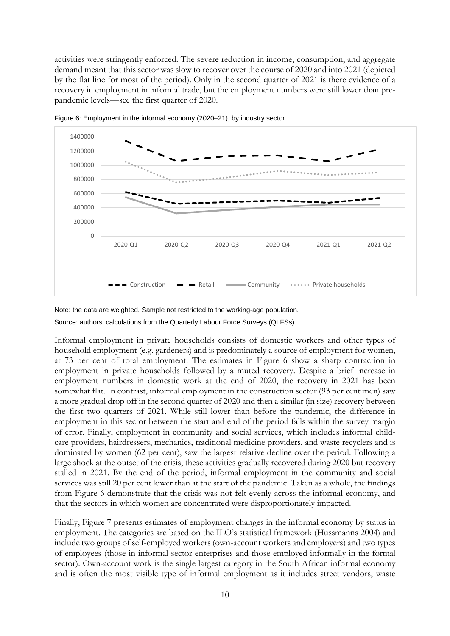activities were stringently enforced. The severe reduction in income, consumption, and aggregate demand meant that this sector was slow to recover over the course of 2020 and into 2021 (depicted by the flat line for most of the period). Only in the second quarter of 2021 is there evidence of a recovery in employment in informal trade, but the employment numbers were still lower than prepandemic levels—see the first quarter of 2020.



Figure 6: Employment in the informal economy (2020–21), by industry sector

Note: the data are weighted. Sample not restricted to the working-age population.

Source: authors' calculations from the Quarterly Labour Force Surveys (QLFSs).

Informal employment in private households consists of domestic workers and other types of household employment (e.g. gardeners) and is predominately a source of employment for women, at 73 per cent of total employment. The estimates in Figure 6 show a sharp contraction in employment in private households followed by a muted recovery. Despite a brief increase in employment numbers in domestic work at the end of 2020, the recovery in 2021 has been somewhat flat. In contrast, informal employment in the construction sector (93 per cent men) saw a more gradual drop off in the second quarter of 2020 and then a similar (in size) recovery between the first two quarters of 2021. While still lower than before the pandemic, the difference in employment in this sector between the start and end of the period falls within the survey margin of error. Finally, employment in community and social services, which includes informal childcare providers, hairdressers, mechanics, traditional medicine providers, and waste recyclers and is dominated by women (62 per cent), saw the largest relative decline over the period. Following a large shock at the outset of the crisis, these activities gradually recovered during 2020 but recovery stalled in 2021. By the end of the period, informal employment in the community and social services was still 20 per cent lower than at the start of the pandemic. Taken as a whole, the findings from Figure 6 demonstrate that the crisis was not felt evenly across the informal economy, and that the sectors in which women are concentrated were disproportionately impacted.

Finally, Figure 7 presents estimates of employment changes in the informal economy by status in employment. The categories are based on the ILO's statistical framework (Hussmanns 2004) and include two groups of self-employed workers (own-account workers and employers) and two types of employees (those in informal sector enterprises and those employed informally in the formal sector). Own-account work is the single largest category in the South African informal economy and is often the most visible type of informal employment as it includes street vendors, waste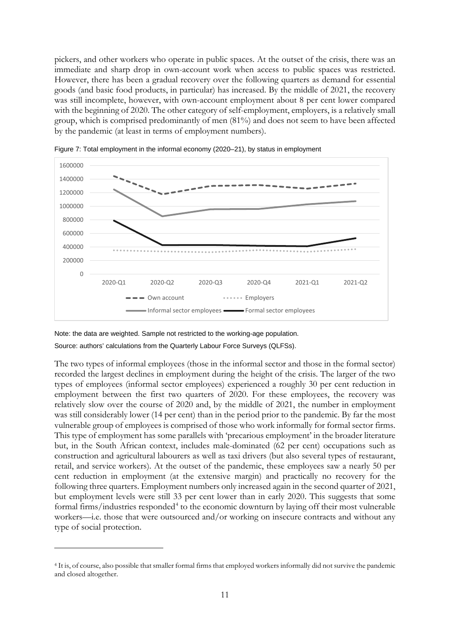pickers, and other workers who operate in public spaces. At the outset of the crisis, there was an immediate and sharp drop in own-account work when access to public spaces was restricted. However, there has been a gradual recovery over the following quarters as demand for essential goods (and basic food products, in particular) has increased. By the middle of 2021, the recovery was still incomplete, however, with own-account employment about 8 per cent lower compared with the beginning of 2020. The other category of self-employment, employers, is a relatively small group, which is comprised predominantly of men (81%) and does not seem to have been affected by the pandemic (at least in terms of employment numbers).





Note: the data are weighted. Sample not restricted to the working-age population. Source: authors' calculations from the Quarterly Labour Force Surveys (QLFSs).

The two types of informal employees (those in the informal sector and those in the formal sector) recorded the largest declines in employment during the height of the crisis. The larger of the two types of employees (informal sector employees) experienced a roughly 30 per cent reduction in employment between the first two quarters of 2020. For these employees, the recovery was relatively slow over the course of 2020 and, by the middle of 2021, the number in employment was still considerably lower (14 per cent) than in the period prior to the pandemic. By far the most vulnerable group of employees is comprised of those who work informally for formal sector firms. This type of employment has some parallels with 'precarious employment' in the broader literature but, in the South African context, includes male-dominated (62 per cent) occupations such as construction and agricultural labourers as well as taxi drivers (but also several types of restaurant, retail, and service workers). At the outset of the pandemic, these employees saw a nearly 50 per cent reduction in employment (at the extensive margin) and practically no recovery for the following three quarters. Employment numbers only increased again in the second quarter of 2021, but employment levels were still 33 per cent lower than in early 2020. This suggests that some formal firms/industries responded<sup>[4](#page-12-0)</sup> to the economic downturn by laying off their most vulnerable workers—i.e. those that were outsourced and/or working on insecure contracts and without any type of social protection.

<span id="page-12-0"></span><sup>4</sup> It is, of course, also possible that smaller formal firms that employed workers informally did not survive the pandemic and closed altogether.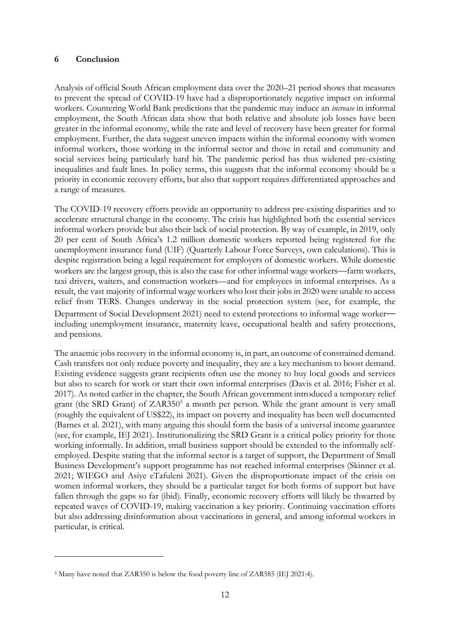#### **6 Conclusion**

Analysis of official South African employment data over the 2020–21 period shows that measures to prevent the spread of COVID-19 have had a disproportionately negative impact on informal workers. Countering World Bank predictions that the pandemic may induce an *increase* in informal employment, the South African data show that both relative and absolute job losses have been greater in the informal economy, while the rate and level of recovery have been greater for formal employment. Further, the data suggest uneven impacts within the informal economy with women informal workers, those working in the informal sector and those in retail and community and social services being particularly hard hit. The pandemic period has thus widened pre-existing inequalities and fault lines. In policy terms, this suggests that the informal economy should be a priority in economic recovery efforts, but also that support requires differentiated approaches and a range of measures.

The COVID-19 recovery efforts provide an opportunity to address pre-existing disparities and to accelerate structural change in the economy. The crisis has highlighted both the essential services informal workers provide but also their lack of social protection. By way of example, in 2019, only 20 per cent of South Africa's 1.2 million domestic workers reported being registered for the unemployment insurance fund (UIF) (Quarterly Labour Force Surveys, own calculations). This is despite registration being a legal requirement for employers of domestic workers. While domestic workers are the largest group, this is also the case for other informal wage workers—farm workers, taxi drivers, waiters, and construction workers—and for employees in informal enterprises. As a result, the vast majority of informal wage workers who lost their jobs in 2020 were unable to access relief from TERS. Changes underway in the social protection system (see, for example, the Department of Social Development 2021) need to extend protections to informal wage worker including unemployment insurance, maternity leave, occupational health and safety protections, and pensions.

The anaemic jobs recovery in the informal economy is, in part, an outcome of constrained demand. Cash transfers not only reduce poverty and inequality, they are a key mechanism to boost demand. Existing evidence suggests grant recipients often use the money to buy local goods and services but also to search for work or start their own informal enterprises (Davis et al. 2016; Fisher et al. 2017). As noted earlier in the chapter, the South African government introduced a temporary relief grant (the SRD Grant) of  $ZAR350<sup>5</sup>$  a month per person. While the grant amount is very small (roughly the equivalent of US\$22), its impact on poverty and inequality has been well documented (Barnes et al. 2021), with many arguing this should form the basis of a universal income guarantee (see, for example, IEJ 2021). Institutionalizing the SRD Grant is a critical policy priority for those working informally. In addition, small business support should be extended to the informally selfemployed. Despite stating that the informal sector is a target of support, the Department of Small Business Development's support programme has not reached informal enterprises (Skinner et al. 2021; WIEGO and Asiye eTafuleni 2021). Given the disproportionate impact of the crisis on women informal workers, they should be a particular target for both forms of support but have fallen through the gaps so far (ibid). Finally, economic recovery efforts will likely be thwarted by repeated waves of COVID-19, making vaccination a key priority. Continuing vaccination efforts but also addressing disinformation about vaccinations in general, and among informal workers in particular, is critical.

<span id="page-13-0"></span><sup>5</sup> Many have noted that ZAR350 is below the food poverty line of ZAR585 (IEJ 2021:4).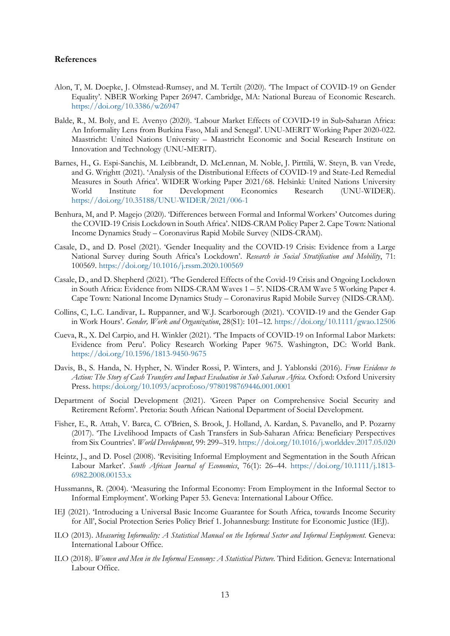#### **References**

- Alon, T, M. Doepke, J. Olmstead-Rumsey, and M. Tertilt (2020). 'The Impact of COVID-19 on Gender Equality'. NBER Working Paper 26947. Cambridge, MA: National Bureau of Economic Research. <https://doi.org/10.3386/w26947>
- Balde, R., M. Boly, and E. Avenyo (2020). 'Labour Market Effects of COVID-19 in Sub-Saharan Africa: An Informality Lens from Burkina Faso, Mali and Senegal'. UNU-MERIT Working Paper 2020-022. Maastricht: United Nations University – Maastricht Economic and Social Research Institute on Innovation and Technology (UNU‐MERIT).
- Barnes, H., G. Espi-Sanchis, M. Leibbrandt, D. McLennan, M. Noble, J. Pirttilä, W. Steyn, B. van Vrede, and G. Wrightt (2021). 'Analysis of the Distributional Effects of COVID-19 and State-Led Remedial Measures in South Africa'. WIDER Working Paper 2021/68. Helsinki: United Nations University World Institute for Development Economics Research (UNU-WIDER). <https://doi.org/10.35188/UNU-WIDER/2021/006-1>
- Benhura, M, and P. Magejo (2020). 'Differences between Formal and Informal Workers' Outcomes during the COVID-19 Crisis Lockdown in South Africa'. NIDS-CRAM Policy Paper 2. Cape Town: National Income Dynamics Study – Coronavirus Rapid Mobile Survey (NIDS-CRAM).
- Casale, D., and D. Posel (2021). 'Gender Inequality and the COVID-19 Crisis: Evidence from a Large National Survey during South Africa's Lockdown'. *Research in Social Stratification and Mobility*, 71: 100569. <https://doi.org/10.1016/j.rssm.2020.100569>
- Casale, D., and D. Shepherd (2021). 'The Gendered Effects of the Covid-19 Crisis and Ongoing Lockdown in South Africa: Evidence from NIDS-CRAM Waves 1 – 5'. NIDS-CRAM Wave 5 Working Paper 4. Cape Town: National Income Dynamics Study – Coronavirus Rapid Mobile Survey (NIDS-CRAM).
- Collins, C, L.C. Landivar, L. Ruppanner, and W.J. Scarborough (2021). 'COVID-19 and the Gender Gap in Work Hours'. *Gender, Work and Organization*, 28(S1): 101–12. <https://doi.org/10.1111/gwao.12506>
- Cueva, R., X. Del Carpio, and H. Winkler (2021). 'The Impacts of COVID-19 on Informal Labor Markets: Evidence from Peru'. Policy Research Working Paper 9675. Washington, DC: World Bank. <https://doi.org/10.1596/1813-9450-9675>
- Davis, B., S. Handa, N. Hypher, N. Winder Rossi, P. Winters, and J. Yablonski (2016). *From Evidence to Action: The Story of Cash Transfers and Impact Evaluation in Sub Saharan Africa*. Oxford: Oxford University Press. [https:/doi.org/10.1093/acprof:oso/9780198769446.001.0001](https://doi.org/10.1093/acprof:oso/9780198769446.001.0001)
- Department of Social Development (2021). 'Green Paper on Comprehensive Social Security and Retirement Reform'. Pretoria: South African National Department of Social Development.
- Fisher, E., R. Attah, V. Barca, C. O'Brien, S. Brook, J. Holland, A. Kardan, S. Pavanello, and P. Pozarny (2017). 'The Livelihood Impacts of Cash Transfers in Sub-Saharan Africa: Beneficiary Perspectives from Six Countries'. *World Development*, 99: 299–319. <https://doi.org/10.1016/j.worlddev.2017.05.020>
- Heintz, J., and D. Posel (2008). 'Revisiting Informal Employment and Segmentation in the South African Labour Market'. *South African Journal of Economics*, 76(1): 26–44. [https://doi.org/10.1111/j.1813-](https://doi.org/10.1111/j.1813-6982.2008.00153.x) [6982.2008.00153.x](https://doi.org/10.1111/j.1813-6982.2008.00153.x)
- Hussmanns, R. (2004). 'Measuring the Informal Economy: From Employment in the Informal Sector to Informal Employment'. Working Paper 53. Geneva: International Labour Office.
- IEJ (2021). 'Introducing a Universal Basic Income Guarantee for South Africa, towards Income Security for All', Social Protection Series Policy Brief 1. Johannesburg: Institute for Economic Justice (IEJ).
- ILO (2013). *Measuring Informality: A Statistical Manual on the Informal Sector and Informal Employment*. Geneva: International Labour Office.
- ILO (2018). *Women and Men in the Informal Economy: A Statistical Picture*. Third Edition. Geneva: International Labour Office.